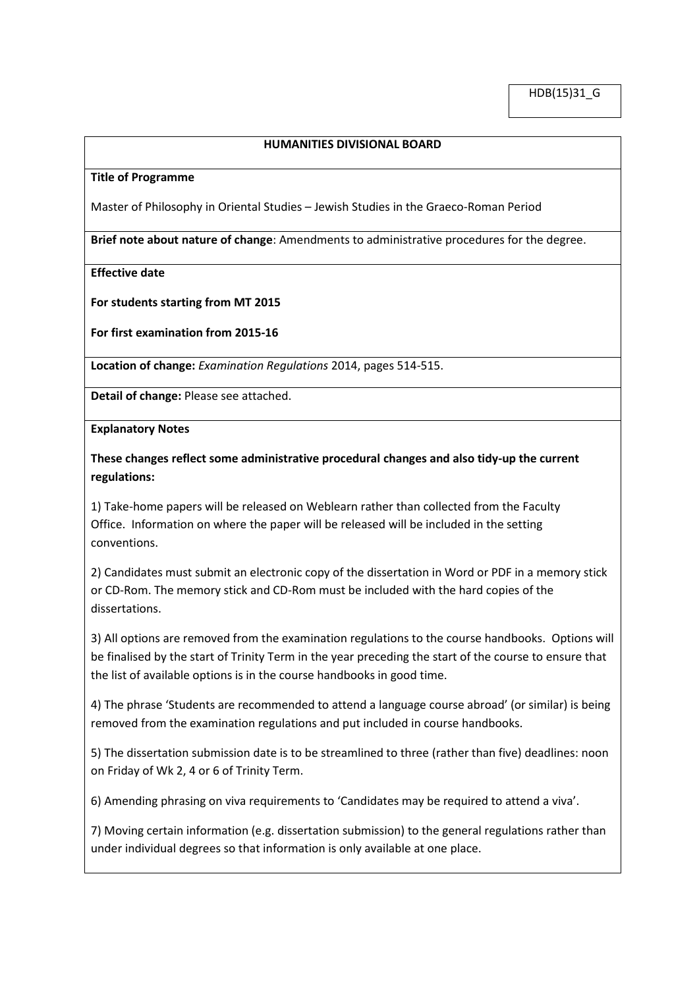## **HUMANITIES DIVISIONAL BOARD**

## **Title of Programme**

Master of Philosophy in Oriental Studies – Jewish Studies in the Graeco-Roman Period

**Brief note about nature of change**: Amendments to administrative procedures for the degree.

**Effective date**

**For students starting from MT 2015**

**For first examination from 2015-16**

**Location of change:** *Examination Regulations* 2014, pages 514-515.

**Detail of change:** Please see attached.

**Explanatory Notes**

**These changes reflect some administrative procedural changes and also tidy-up the current regulations:**

1) Take-home papers will be released on Weblearn rather than collected from the Faculty Office. Information on where the paper will be released will be included in the setting conventions.

2) Candidates must submit an electronic copy of the dissertation in Word or PDF in a memory stick or CD-Rom. The memory stick and CD-Rom must be included with the hard copies of the dissertations.

3) All options are removed from the examination regulations to the course handbooks. Options will be finalised by the start of Trinity Term in the year preceding the start of the course to ensure that the list of available options is in the course handbooks in good time.

4) The phrase 'Students are recommended to attend a language course abroad' (or similar) is being removed from the examination regulations and put included in course handbooks.

5) The dissertation submission date is to be streamlined to three (rather than five) deadlines: noon on Friday of Wk 2, 4 or 6 of Trinity Term.

6) Amending phrasing on viva requirements to 'Candidates may be required to attend a viva'.

7) Moving certain information (e.g. dissertation submission) to the general regulations rather than under individual degrees so that information is only available at one place.